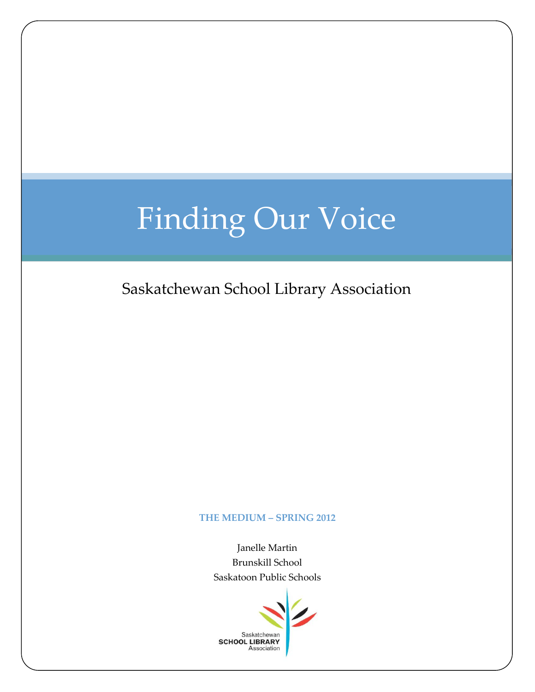# Finding Our Voice

Saskatchewan School Library Association

#### **THE MEDIUM – SPRING 2012**

Janelle Martin Brunskill School Saskatoon Public Schools

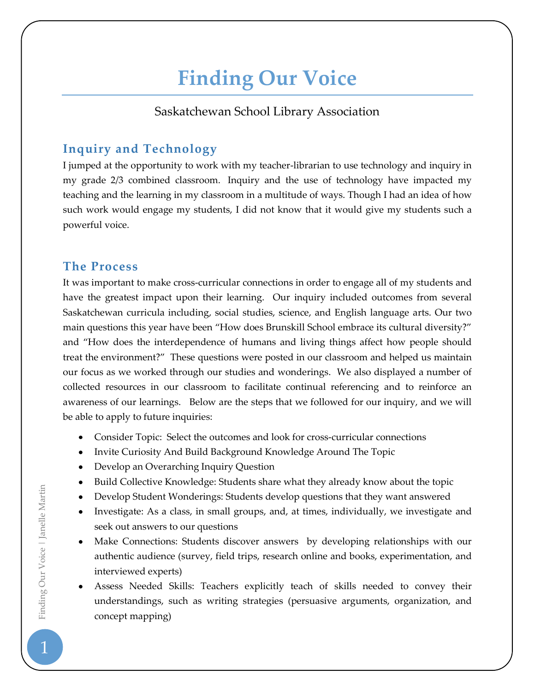## **Finding Our Voice**

#### Saskatchewan School Library Association

### **Inquiry and Technology**

I jumped at the opportunity to work with my teacher-librarian to use technology and inquiry in my grade 2/3 combined classroom. Inquiry and the use of technology have impacted my teaching and the learning in my classroom in a multitude of ways. Though I had an idea of how such work would engage my students, I did not know that it would give my students such a powerful voice.

#### **The Process**

It was important to make cross-curricular connections in order to engage all of my students and have the greatest impact upon their learning. Our inquiry included outcomes from several Saskatchewan curricula including, social studies, science, and English language arts. Our two main questions this year have been "How does Brunskill School embrace its cultural diversity?" and "How does the interdependence of humans and living things affect how people should treat the environment?" These questions were posted in our classroom and helped us maintain our focus as we worked through our studies and wonderings. We also displayed a number of collected resources in our classroom to facilitate continual referencing and to reinforce an awareness of our learnings. Below are the steps that we followed for our inquiry, and we will be able to apply to future inquiries:

- Consider Topic: Select the outcomes and look for cross-curricular connections
- Invite Curiosity And Build Background Knowledge Around The Topic
- Develop an Overarching Inquiry Question
- Build Collective Knowledge: Students share what they already know about the topic
- Develop Student Wonderings: Students develop questions that they want answered
- Investigate: As a class, in small groups, and, at times, individually, we investigate and seek out answers to our questions
- Make Connections: Students discover answers by developing relationships with our authentic audience (survey, field trips, research online and books, experimentation, and interviewed experts)
- Assess Needed Skills: Teachers explicitly teach of skills needed to convey their understandings, such as writing strategies (persuasive arguments, organization, and concept mapping)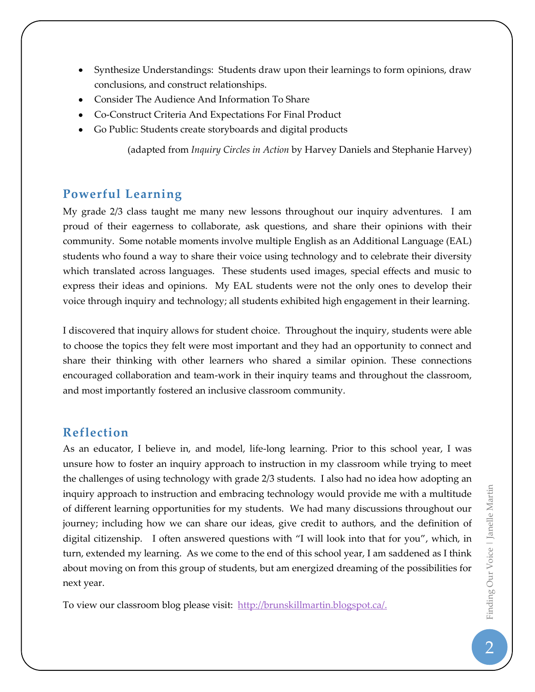- Synthesize Understandings: Students draw upon their learnings to form opinions, draw conclusions, and construct relationships.
- Consider The Audience And Information To Share
- Co-Construct Criteria And Expectations For Final Product
- Go Public: Students create storyboards and digital products

(adapted from *Inquiry Circles in Action* by Harvey Daniels and Stephanie Harvey)

### **Powerful Learning**

My grade 2/3 class taught me many new lessons throughout our inquiry adventures. I am proud of their eagerness to collaborate, ask questions, and share their opinions with their community. Some notable moments involve multiple English as an Additional Language (EAL) students who found a way to share their voice using technology and to celebrate their diversity which translated across languages. These students used images, special effects and music to express their ideas and opinions. My EAL students were not the only ones to develop their voice through inquiry and technology; all students exhibited high engagement in their learning.

I discovered that inquiry allows for student choice. Throughout the inquiry, students were able to choose the topics they felt were most important and they had an opportunity to connect and share their thinking with other learners who shared a similar opinion. These connections encouraged collaboration and team-work in their inquiry teams and throughout the classroom, and most importantly fostered an inclusive classroom community.

### **Reflection**

As an educator, I believe in, and model, life-long learning. Prior to this school year, I was unsure how to foster an inquiry approach to instruction in my classroom while trying to meet the challenges of using technology with grade 2/3 students. I also had no idea how adopting an inquiry approach to instruction and embracing technology would provide me with a multitude of different learning opportunities for my students. We had many discussions throughout our journey; including how we can share our ideas, give credit to authors, and the definition of digital citizenship. I often answered questions with "I will look into that for you", which, in turn, extended my learning. As we come to the end of this school year, I am saddened as I think about moving on from this group of students, but am energized dreaming of the possibilities for next year.

To view our classroom blog please visit: [http://brunskillmartin.blogspot.ca/.](http://brunskillmartin.blogspot.ca/)